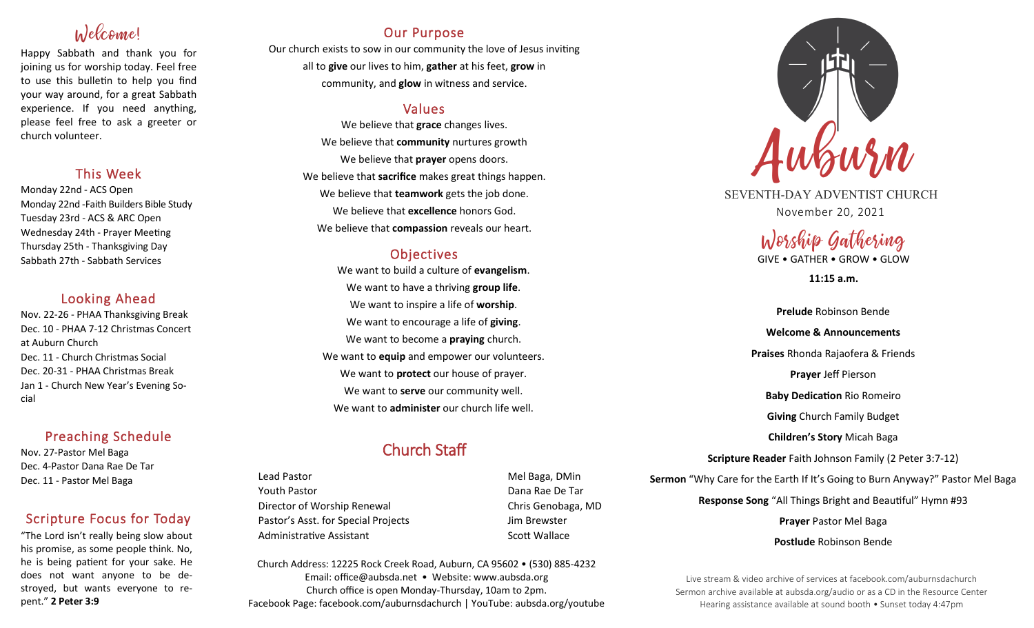# Welcome!

Happy Sabbath and thank you for joining us for worship today. Feel free to use this bulletin to help you find your way around, for a great Sabbath experience. If you need anything, please feel free to ask a greeter or church volunteer.

### This Week

Monday 22nd - ACS Open Monday 22nd -Faith Builders Bible Study Tuesday 23rd - ACS & ARC Open Wednesday 24th - Prayer Meeting Thursday 25th - Thanksgiving Day Sabbath 27th - Sabbath Services

### Looking Ahead

Nov. 22-26 - PHAA Thanksgiving Break Dec. 10 - PHAA 7-12 Christmas Concert at Auburn Church Dec. 11 - Church Christmas Social Dec. 20-31 - PHAA Christmas Break Jan 1 - Church New Year's Evening Social

### Preaching Schedule

Nov. 27-Pastor Mel Baga Dec. 4-Pastor Dana Rae De Tar Dec. 11 - Pastor Mel Baga

### Scripture Focus for Today

"The Lord isn't really being slow about his promise, as some people think. No, he is being patient for your sake. He does not want anyone to be destroyed, but wants everyone to repent." **2 Peter 3:9**

### Our Purpose

Our church exists to sow in our community the love of Jesus inviting all to **give** our lives to him, **gather** at his feet, **grow** in community, and **glow** in witness and service.

### Values

We believe that **grace** changes lives. We believe that **community** nurtures growth We believe that **prayer** opens doors. We believe that **sacrifice** makes great things happen. We believe that **teamwork** gets the job done. We believe that **excellence** honors God. We believe that **compassion** reveals our heart.

### **Objectives**

We want to build a culture of **evangelism**. We want to have a thriving **group life**. We want to inspire a life of **worship**. We want to encourage a life of **giving**. We want to become a **praying** church. We want to **equip** and empower our volunteers. We want to **protect** our house of prayer. We want to **serve** our community well. We want to **administer** our church life well.

## Church Staff

Lead Pastor **Mel Baga, DMin** Youth Pastor Dana Rae De Tar Director of Worship Renewal **Chris Genobaga**, MD Pastor's Asst. for Special Projects Fig. 3.1 Jim Brewster Administrative Assistant National Controllery Scott Wallace

Church Address: 12225 Rock Creek Road, Auburn, CA 95602 • (530) 885-4232 Email: office@aubsda.net • Website: www.aubsda.org Church office is open Monday-Thursday, 10am to 2pm. Facebook Page: facebook.com/auburnsdachurch | YouTube: aubsda.org/youtube



SEVENTH-DAY ADVENTIST CHURCH November 20, 2021

Worship Gathering

GIVE • GATHER • GROW • GLOW

**11:15 a.m.**

**Prelude** Robinson Bende **Welcome & Announcements Praises** Rhonda Rajaofera & Friends **Prayer** Jeff Pierson **Baby Dedication** Rio Romeiro **Giving** Church Family Budget **Children's Story** Micah Baga **Scripture Reader** Faith Johnson Family (2 Peter 3:7-12) **Sermon** "Why Care for the Earth If It's Going to Burn Anyway?" Pastor Mel Baga **Response Song** "All Things Bright and Beautiful" Hymn #93 **Prayer** Pastor Mel Baga **Postlude** Robinson Bende

Live stream & video archive of services at facebook.com/auburnsdachurch Sermon archive available at aubsda.org/audio or as a CD in the Resource Center Hearing assistance available at sound booth • Sunset today 4:47pm